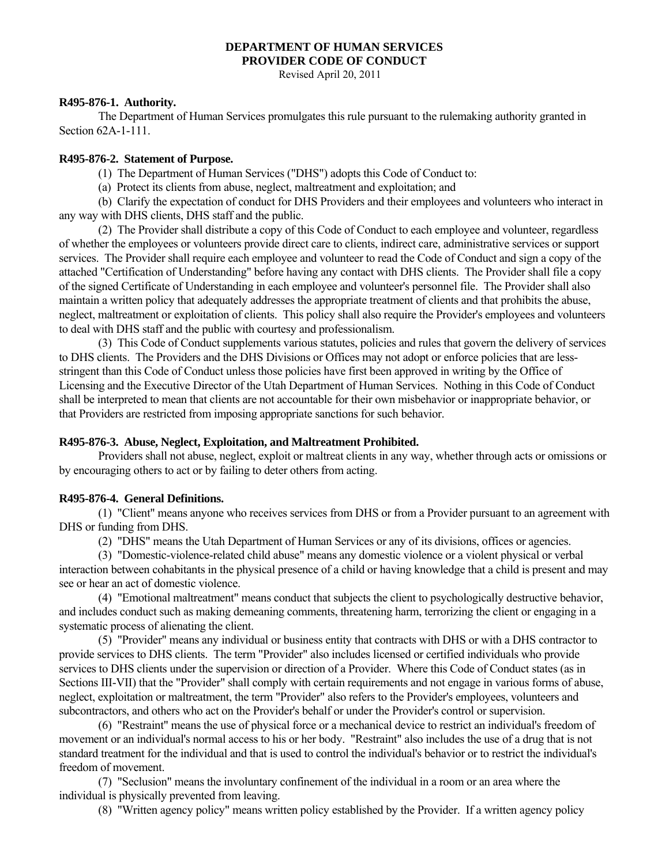#### **DEPARTMENT OF HUMAN SERVICES PROVIDER CODE OF CONDUCT**

Revised April 20, 2011

### **R495-876-1. Authority.**

 The Department of Human Services promulgates this rule pursuant to the rulemaking authority granted in Section 62A-1-111.

#### **R495-876-2. Statement of Purpose.**

(1) The Department of Human Services ("DHS") adopts this Code of Conduct to:

(a) Protect its clients from abuse, neglect, maltreatment and exploitation; and

 (b) Clarify the expectation of conduct for DHS Providers and their employees and volunteers who interact in any way with DHS clients, DHS staff and the public.

 (2) The Provider shall distribute a copy of this Code of Conduct to each employee and volunteer, regardless of whether the employees or volunteers provide direct care to clients, indirect care, administrative services or support services. The Provider shall require each employee and volunteer to read the Code of Conduct and sign a copy of the attached "Certification of Understanding" before having any contact with DHS clients. The Provider shall file a copy of the signed Certificate of Understanding in each employee and volunteer's personnel file. The Provider shall also maintain a written policy that adequately addresses the appropriate treatment of clients and that prohibits the abuse, neglect, maltreatment or exploitation of clients. This policy shall also require the Provider's employees and volunteers to deal with DHS staff and the public with courtesy and professionalism.

 (3) This Code of Conduct supplements various statutes, policies and rules that govern the delivery of services to DHS clients. The Providers and the DHS Divisions or Offices may not adopt or enforce policies that are lessstringent than this Code of Conduct unless those policies have first been approved in writing by the Office of Licensing and the Executive Director of the Utah Department of Human Services. Nothing in this Code of Conduct shall be interpreted to mean that clients are not accountable for their own misbehavior or inappropriate behavior, or that Providers are restricted from imposing appropriate sanctions for such behavior.

### **R495-876-3. Abuse, Neglect, Exploitation, and Maltreatment Prohibited.**

 Providers shall not abuse, neglect, exploit or maltreat clients in any way, whether through acts or omissions or by encouraging others to act or by failing to deter others from acting.

### **R495-876-4. General Definitions.**

 (1) "Client" means anyone who receives services from DHS or from a Provider pursuant to an agreement with DHS or funding from DHS.

(2) "DHS" means the Utah Department of Human Services or any of its divisions, offices or agencies.

 (3) "Domestic-violence-related child abuse" means any domestic violence or a violent physical or verbal interaction between cohabitants in the physical presence of a child or having knowledge that a child is present and may see or hear an act of domestic violence.

 (4) "Emotional maltreatment" means conduct that subjects the client to psychologically destructive behavior, and includes conduct such as making demeaning comments, threatening harm, terrorizing the client or engaging in a systematic process of alienating the client.

 (5) "Provider" means any individual or business entity that contracts with DHS or with a DHS contractor to provide services to DHS clients. The term "Provider" also includes licensed or certified individuals who provide services to DHS clients under the supervision or direction of a Provider. Where this Code of Conduct states (as in Sections III-VII) that the "Provider" shall comply with certain requirements and not engage in various forms of abuse, neglect, exploitation or maltreatment, the term "Provider" also refers to the Provider's employees, volunteers and subcontractors, and others who act on the Provider's behalf or under the Provider's control or supervision.

 (6) "Restraint" means the use of physical force or a mechanical device to restrict an individual's freedom of movement or an individual's normal access to his or her body. "Restraint" also includes the use of a drug that is not standard treatment for the individual and that is used to control the individual's behavior or to restrict the individual's freedom of movement.

 (7) "Seclusion" means the involuntary confinement of the individual in a room or an area where the individual is physically prevented from leaving.

(8) "Written agency policy" means written policy established by the Provider. If a written agency policy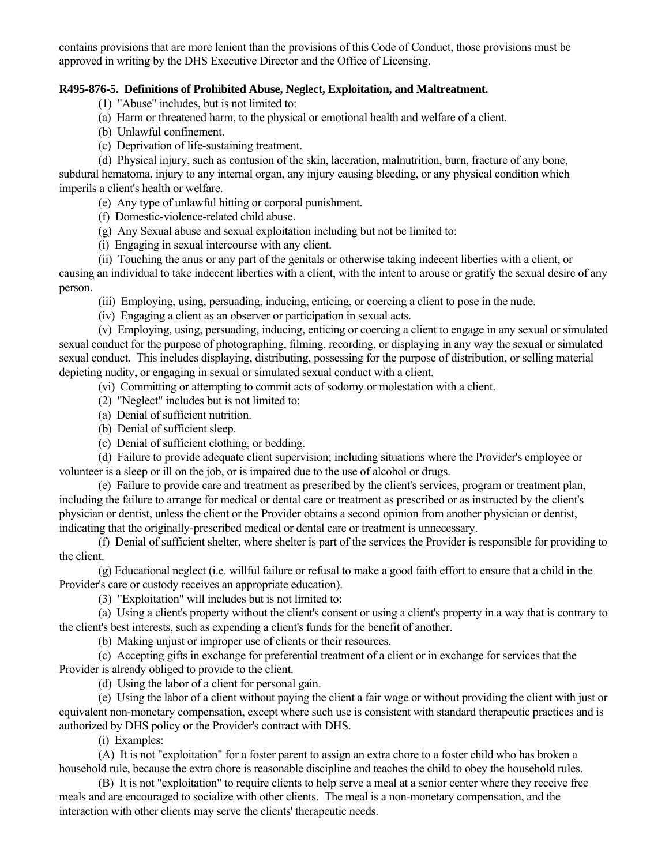contains provisions that are more lenient than the provisions of this Code of Conduct, those provisions must be approved in writing by the DHS Executive Director and the Office of Licensing.

## **R495-876-5. Definitions of Prohibited Abuse, Neglect, Exploitation, and Maltreatment.**

(1) "Abuse" includes, but is not limited to:

- (a) Harm or threatened harm, to the physical or emotional health and welfare of a client.
- (b) Unlawful confinement.
- (c) Deprivation of life-sustaining treatment.

 (d) Physical injury, such as contusion of the skin, laceration, malnutrition, burn, fracture of any bone, subdural hematoma, injury to any internal organ, any injury causing bleeding, or any physical condition which imperils a client's health or welfare.

(e) Any type of unlawful hitting or corporal punishment.

- (f) Domestic-violence-related child abuse.
- (g) Any Sexual abuse and sexual exploitation including but not be limited to:
- (i) Engaging in sexual intercourse with any client.
- (ii) Touching the anus or any part of the genitals or otherwise taking indecent liberties with a client, or

causing an individual to take indecent liberties with a client, with the intent to arouse or gratify the sexual desire of any person.

(iii) Employing, using, persuading, inducing, enticing, or coercing a client to pose in the nude.

(iv) Engaging a client as an observer or participation in sexual acts.

 (v) Employing, using, persuading, inducing, enticing or coercing a client to engage in any sexual or simulated sexual conduct for the purpose of photographing, filming, recording, or displaying in any way the sexual or simulated sexual conduct. This includes displaying, distributing, possessing for the purpose of distribution, or selling material depicting nudity, or engaging in sexual or simulated sexual conduct with a client.

(vi) Committing or attempting to commit acts of sodomy or molestation with a client.

- (2) "Neglect" includes but is not limited to:
- (a) Denial of sufficient nutrition.
- (b) Denial of sufficient sleep.
- (c) Denial of sufficient clothing, or bedding.

 (d) Failure to provide adequate client supervision; including situations where the Provider's employee or volunteer is a sleep or ill on the job, or is impaired due to the use of alcohol or drugs.

 (e) Failure to provide care and treatment as prescribed by the client's services, program or treatment plan, including the failure to arrange for medical or dental care or treatment as prescribed or as instructed by the client's physician or dentist, unless the client or the Provider obtains a second opinion from another physician or dentist, indicating that the originally-prescribed medical or dental care or treatment is unnecessary.

 (f) Denial of sufficient shelter, where shelter is part of the services the Provider is responsible for providing to the client.

 (g) Educational neglect (i.e. willful failure or refusal to make a good faith effort to ensure that a child in the Provider's care or custody receives an appropriate education).

(3) "Exploitation" will includes but is not limited to:

 (a) Using a client's property without the client's consent or using a client's property in a way that is contrary to the client's best interests, such as expending a client's funds for the benefit of another.

(b) Making unjust or improper use of clients or their resources.

 (c) Accepting gifts in exchange for preferential treatment of a client or in exchange for services that the Provider is already obliged to provide to the client.

(d) Using the labor of a client for personal gain.

 (e) Using the labor of a client without paying the client a fair wage or without providing the client with just or equivalent non-monetary compensation, except where such use is consistent with standard therapeutic practices and is authorized by DHS policy or the Provider's contract with DHS.

(i) Examples:

 (A) It is not "exploitation" for a foster parent to assign an extra chore to a foster child who has broken a household rule, because the extra chore is reasonable discipline and teaches the child to obey the household rules.

 (B) It is not "exploitation" to require clients to help serve a meal at a senior center where they receive free meals and are encouraged to socialize with other clients. The meal is a non-monetary compensation, and the interaction with other clients may serve the clients' therapeutic needs.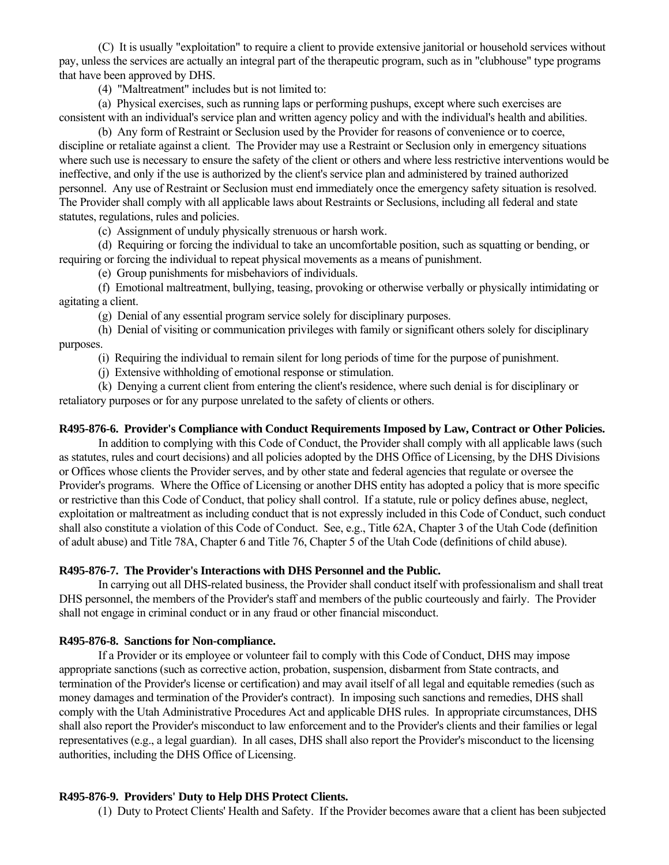(C) It is usually "exploitation" to require a client to provide extensive janitorial or household services without pay, unless the services are actually an integral part of the therapeutic program, such as in "clubhouse" type programs that have been approved by DHS.

(4) "Maltreatment" includes but is not limited to:

 (a) Physical exercises, such as running laps or performing pushups, except where such exercises are consistent with an individual's service plan and written agency policy and with the individual's health and abilities.

 (b) Any form of Restraint or Seclusion used by the Provider for reasons of convenience or to coerce, discipline or retaliate against a client. The Provider may use a Restraint or Seclusion only in emergency situations where such use is necessary to ensure the safety of the client or others and where less restrictive interventions would be ineffective, and only if the use is authorized by the client's service plan and administered by trained authorized personnel. Any use of Restraint or Seclusion must end immediately once the emergency safety situation is resolved. The Provider shall comply with all applicable laws about Restraints or Seclusions, including all federal and state statutes, regulations, rules and policies.

(c) Assignment of unduly physically strenuous or harsh work.

 (d) Requiring or forcing the individual to take an uncomfortable position, such as squatting or bending, or requiring or forcing the individual to repeat physical movements as a means of punishment.

(e) Group punishments for misbehaviors of individuals.

 (f) Emotional maltreatment, bullying, teasing, provoking or otherwise verbally or physically intimidating or agitating a client.

(g) Denial of any essential program service solely for disciplinary purposes.

 (h) Denial of visiting or communication privileges with family or significant others solely for disciplinary purposes.

(i) Requiring the individual to remain silent for long periods of time for the purpose of punishment.

(j) Extensive withholding of emotional response or stimulation.

 (k) Denying a current client from entering the client's residence, where such denial is for disciplinary or retaliatory purposes or for any purpose unrelated to the safety of clients or others.

## **R495-876-6. Provider's Compliance with Conduct Requirements Imposed by Law, Contract or Other Policies.**

 In addition to complying with this Code of Conduct, the Provider shall comply with all applicable laws (such as statutes, rules and court decisions) and all policies adopted by the DHS Office of Licensing, by the DHS Divisions or Offices whose clients the Provider serves, and by other state and federal agencies that regulate or oversee the Provider's programs. Where the Office of Licensing or another DHS entity has adopted a policy that is more specific or restrictive than this Code of Conduct, that policy shall control. If a statute, rule or policy defines abuse, neglect, exploitation or maltreatment as including conduct that is not expressly included in this Code of Conduct, such conduct shall also constitute a violation of this Code of Conduct. See, e.g., Title 62A, Chapter 3 of the Utah Code (definition of adult abuse) and Title 78A, Chapter 6 and Title 76, Chapter 5 of the Utah Code (definitions of child abuse).

# **R495-876-7. The Provider's Interactions with DHS Personnel and the Public.**

 In carrying out all DHS-related business, the Provider shall conduct itself with professionalism and shall treat DHS personnel, the members of the Provider's staff and members of the public courteously and fairly. The Provider shall not engage in criminal conduct or in any fraud or other financial misconduct.

# **R495-876-8. Sanctions for Non-compliance.**

 If a Provider or its employee or volunteer fail to comply with this Code of Conduct, DHS may impose appropriate sanctions (such as corrective action, probation, suspension, disbarment from State contracts, and termination of the Provider's license or certification) and may avail itself of all legal and equitable remedies (such as money damages and termination of the Provider's contract). In imposing such sanctions and remedies, DHS shall comply with the Utah Administrative Procedures Act and applicable DHS rules. In appropriate circumstances, DHS shall also report the Provider's misconduct to law enforcement and to the Provider's clients and their families or legal representatives (e.g., a legal guardian). In all cases, DHS shall also report the Provider's misconduct to the licensing authorities, including the DHS Office of Licensing.

# **R495-876-9. Providers' Duty to Help DHS Protect Clients.**

(1) Duty to Protect Clients' Health and Safety. If the Provider becomes aware that a client has been subjected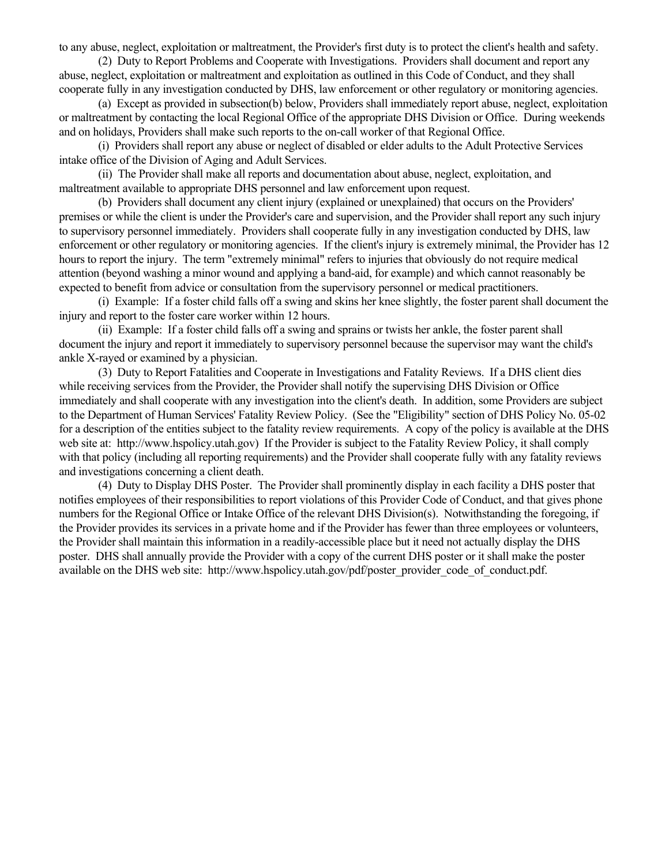to any abuse, neglect, exploitation or maltreatment, the Provider's first duty is to protect the client's health and safety.

 (2) Duty to Report Problems and Cooperate with Investigations. Providers shall document and report any abuse, neglect, exploitation or maltreatment and exploitation as outlined in this Code of Conduct, and they shall cooperate fully in any investigation conducted by DHS, law enforcement or other regulatory or monitoring agencies.

 (a) Except as provided in subsection(b) below, Providers shall immediately report abuse, neglect, exploitation or maltreatment by contacting the local Regional Office of the appropriate DHS Division or Office. During weekends and on holidays, Providers shall make such reports to the on-call worker of that Regional Office.

 (i) Providers shall report any abuse or neglect of disabled or elder adults to the Adult Protective Services intake office of the Division of Aging and Adult Services.

 (ii) The Provider shall make all reports and documentation about abuse, neglect, exploitation, and maltreatment available to appropriate DHS personnel and law enforcement upon request.

 (b) Providers shall document any client injury (explained or unexplained) that occurs on the Providers' premises or while the client is under the Provider's care and supervision, and the Provider shall report any such injury to supervisory personnel immediately. Providers shall cooperate fully in any investigation conducted by DHS, law enforcement or other regulatory or monitoring agencies. If the client's injury is extremely minimal, the Provider has 12 hours to report the injury. The term "extremely minimal" refers to injuries that obviously do not require medical attention (beyond washing a minor wound and applying a band-aid, for example) and which cannot reasonably be expected to benefit from advice or consultation from the supervisory personnel or medical practitioners.

 (i) Example: If a foster child falls off a swing and skins her knee slightly, the foster parent shall document the injury and report to the foster care worker within 12 hours.

 (ii) Example: If a foster child falls off a swing and sprains or twists her ankle, the foster parent shall document the injury and report it immediately to supervisory personnel because the supervisor may want the child's ankle X-rayed or examined by a physician.

 (3) Duty to Report Fatalities and Cooperate in Investigations and Fatality Reviews. If a DHS client dies while receiving services from the Provider, the Provider shall notify the supervising DHS Division or Office immediately and shall cooperate with any investigation into the client's death. In addition, some Providers are subject to the Department of Human Services' Fatality Review Policy. (See the "Eligibility" section of DHS Policy No. 05-02 for a description of the entities subject to the fatality review requirements. A copy of the policy is available at the DHS web site at: http://www.hspolicy.utah.gov) If the Provider is subject to the Fatality Review Policy, it shall comply with that policy (including all reporting requirements) and the Provider shall cooperate fully with any fatality reviews and investigations concerning a client death.

 (4) Duty to Display DHS Poster. The Provider shall prominently display in each facility a DHS poster that notifies employees of their responsibilities to report violations of this Provider Code of Conduct, and that gives phone numbers for the Regional Office or Intake Office of the relevant DHS Division(s). Notwithstanding the foregoing, if the Provider provides its services in a private home and if the Provider has fewer than three employees or volunteers, the Provider shall maintain this information in a readily-accessible place but it need not actually display the DHS poster. DHS shall annually provide the Provider with a copy of the current DHS poster or it shall make the poster available on the DHS web site: http://www.hspolicy.utah.gov/pdf/poster\_provider\_code\_of\_conduct.pdf.